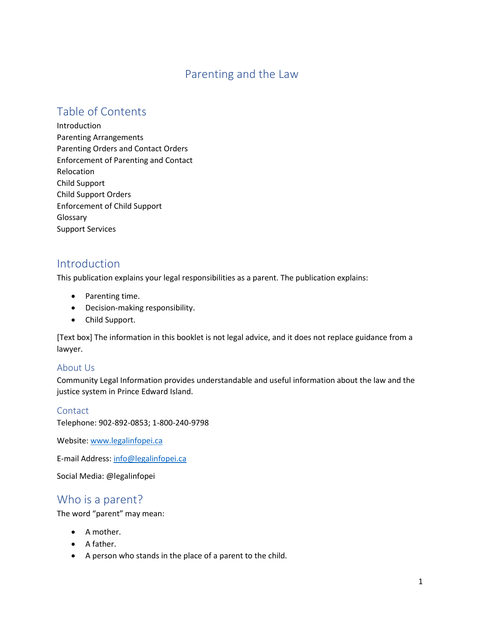# Parenting and the Law

# Table of Contents

Introduction Parenting Arrangements Parenting Orders and Contact Orders Enforcement of Parenting and Contact Relocation Child Support Child Support Orders Enforcement of Child Support Glossary Support Services

# Introduction

This publication explains your legal responsibilities as a parent. The publication explains:

- Parenting time.
- Decision-making responsibility.
- Child Support.

[Text box] The information in this booklet is not legal advice, and it does not replace guidance from a lawyer.

#### About Us

Community Legal Information provides understandable and useful information about the law and the justice system in Prince Edward Island.

#### **Contact**

Telephone: 902-892-0853; 1-800-240-9798

Website[: www.legalinfopei.ca](http://www.legalinfopei.ca/)

E-mail Address[: info@legalinfopei.ca](mailto:info@legalinfopei.ca)

Social Media: @legalinfopei

# Who is a parent?

The word "parent" may mean:

- A mother.
- A father.
- A person who stands in the place of a parent to the child.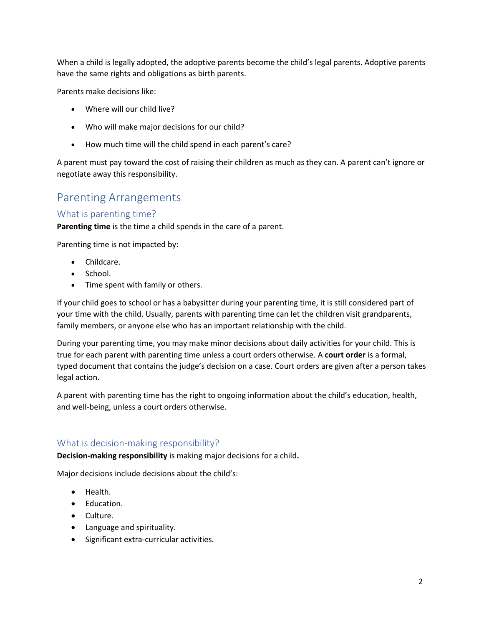When a child is legally adopted, the adoptive parents become the child's legal parents. Adoptive parents have the same rights and obligations as birth parents.

Parents make decisions like:

- Where will our child live?
- Who will make major decisions for our child?
- How much time will the child spend in each parent's care?

A parent must pay toward the cost of raising their children as much as they can. A parent can't ignore or negotiate away this responsibility.

# Parenting Arrangements

# What is parenting time?

**Parenting time** is the time a child spends in the care of a parent.

Parenting time is not impacted by:

- Childcare.
- School.
- Time spent with family or others.

If your child goes to school or has a babysitter during your parenting time, it is still considered part of your time with the child. Usually, parents with parenting time can let the children visit grandparents, family members, or anyone else who has an important relationship with the child.

During your parenting time, you may make minor decisions about daily activities for your child. This is true for each parent with parenting time unless a court orders otherwise. A **court order** is a formal, typed document that contains the judge's decision on a case. Court orders are given after a person takes legal action.

A parent with parenting time has the right to ongoing information about the child's education, health, and well-being, unless a court orders otherwise.

# What is decision-making responsibility?

**Decision-making responsibility** is making major decisions for a child**.**

Major decisions include decisions about the child's:

- Health.
- Education.
- Culture.
- Language and spirituality.
- Significant extra-curricular activities.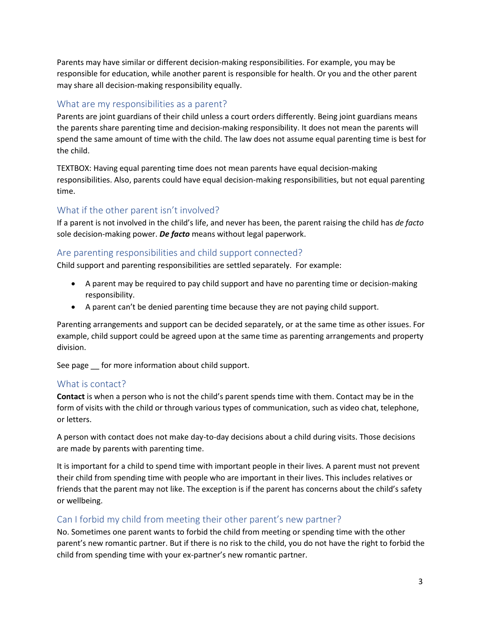Parents may have similar or different decision-making responsibilities. For example, you may be responsible for education, while another parent is responsible for health. Or you and the other parent may share all decision-making responsibility equally.

### What are my responsibilities as a parent?

Parents are joint guardians of their child unless a court orders differently. Being joint guardians means the parents share parenting time and decision-making responsibility. It does not mean the parents will spend the same amount of time with the child. The law does not assume equal parenting time is best for the child.

TEXTBOX: Having equal parenting time does not mean parents have equal decision-making responsibilities. Also, parents could have equal decision-making responsibilities, but not equal parenting time.

# What if the other parent isn't involved?

If a parent is not involved in the child's life, and never has been, the parent raising the child has *de facto* sole decision-making power. *De facto* means without legal paperwork.

# Are parenting responsibilities and child support connected?

Child support and parenting responsibilities are settled separately. For example:

- A parent may be required to pay child support and have no parenting time or decision-making responsibility.
- A parent can't be denied parenting time because they are not paying child support.

Parenting arrangements and support can be decided separately, or at the same time as other issues. For example, child support could be agreed upon at the same time as parenting arrangements and property division.

See page \_\_ for more information about child support.

# What is contact?

**Contact** is when a person who is not the child's parent spends time with them. Contact may be in the form of visits with the child or through various types of communication, such as video chat, telephone, or letters.

A person with contact does not make day-to-day decisions about a child during visits. Those decisions are made by parents with parenting time.

It is important for a child to spend time with important people in their lives. A parent must not prevent their child from spending time with people who are important in their lives. This includes relatives or friends that the parent may not like. The exception is if the parent has concerns about the child's safety or wellbeing.

# Can I forbid my child from meeting their other parent's new partner?

No. Sometimes one parent wants to forbid the child from meeting or spending time with the other parent's new romantic partner. But if there is no risk to the child, you do not have the right to forbid the child from spending time with your ex-partner's new romantic partner.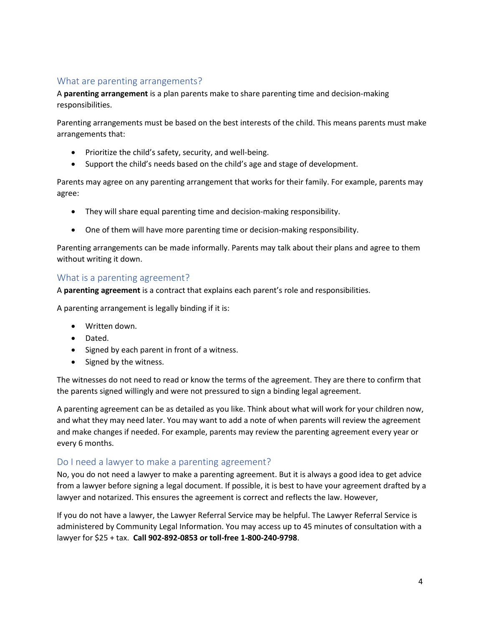# What are parenting arrangements?

A **parenting arrangement** is a plan parents make to share parenting time and decision-making responsibilities.

Parenting arrangements must be based on the best interests of the child. This means parents must make arrangements that:

- Prioritize the child's safety, security, and well-being.
- Support the child's needs based on the child's age and stage of development.

Parents may agree on any parenting arrangement that works for their family. For example, parents may agree:

- They will share equal parenting time and decision-making responsibility.
- One of them will have more parenting time or decision-making responsibility.

Parenting arrangements can be made informally. Parents may talk about their plans and agree to them without writing it down.

#### What is a parenting agreement?

A **parenting agreement** is a contract that explains each parent's role and responsibilities.

A parenting arrangement is legally binding if it is:

- Written down.
- Dated.
- Signed by each parent in front of a witness.
- Signed by the witness.

The witnesses do not need to read or know the terms of the agreement. They are there to confirm that the parents signed willingly and were not pressured to sign a binding legal agreement.

A parenting agreement can be as detailed as you like. Think about what will work for your children now, and what they may need later. You may want to add a note of when parents will review the agreement and make changes if needed. For example, parents may review the parenting agreement every year or every 6 months.

# Do I need a lawyer to make a parenting agreement?

No, you do not need a lawyer to make a parenting agreement. But it is always a good idea to get advice from a lawyer before signing a legal document. If possible, it is best to have your agreement drafted by a lawyer and notarized. This ensures the agreement is correct and reflects the law. However,

If you do not have a lawyer, the Lawyer Referral Service may be helpful. The Lawyer Referral Service is administered by Community Legal Information. You may access up to 45 minutes of consultation with a lawyer for \$25 + tax. **Call 902-892-0853 or toll-free 1-800-240-9798**.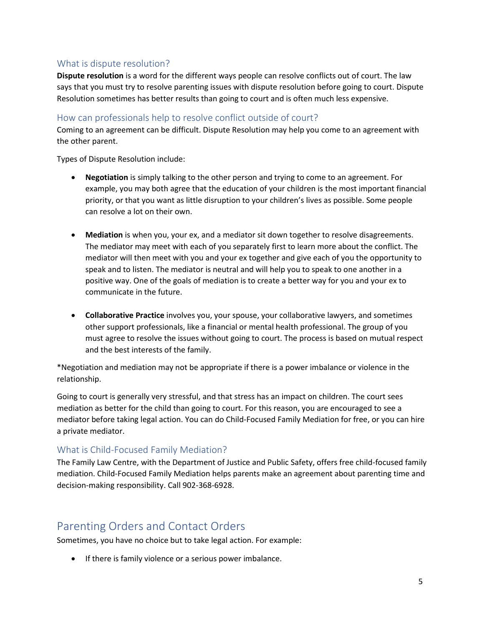# What is dispute resolution?

**Dispute resolution** is a word for the different ways people can resolve conflicts out of court. The law says that you must try to resolve parenting issues with dispute resolution before going to court. Dispute Resolution sometimes has better results than going to court and is often much less expensive.

# How can professionals help to resolve conflict outside of court?

Coming to an agreement can be difficult. Dispute Resolution may help you come to an agreement with the other parent.

Types of Dispute Resolution include:

- **Negotiation** is simply talking to the other person and trying to come to an agreement. For example, you may both agree that the education of your children is the most important financial priority, or that you want as little disruption to your children's lives as possible. Some people can resolve a lot on their own.
- **Mediation** is when you, your ex, and a mediator sit down together to resolve disagreements. The mediator may meet with each of you separately first to learn more about the conflict. The mediator will then meet with you and your ex together and give each of you the opportunity to speak and to listen. The mediator is neutral and will help you to speak to one another in a positive way. One of the goals of mediation is to create a better way for you and your ex to communicate in the future.
- **Collaborative Practice** involves you, your spouse, your collaborative lawyers, and sometimes other support professionals, like a financial or mental health professional. The group of you must agree to resolve the issues without going to court. The process is based on mutual respect and the best interests of the family.

\*Negotiation and mediation may not be appropriate if there is a power imbalance or violence in the relationship.

Going to court is generally very stressful, and that stress has an impact on children. The court sees mediation as better for the child than going to court. For this reason, you are encouraged to see a mediator before taking legal action. You can do Child-Focused Family Mediation for free, or you can hire a private mediator.

# What is Child-Focused Family Mediation?

The Family Law Centre, with the Department of Justice and Public Safety, offers free child-focused family mediation. Child-Focused Family Mediation helps parents make an agreement about parenting time and decision-making responsibility. Call 902-368-6928.

# Parenting Orders and Contact Orders

Sometimes, you have no choice but to take legal action. For example:

• If there is family violence or a serious power imbalance.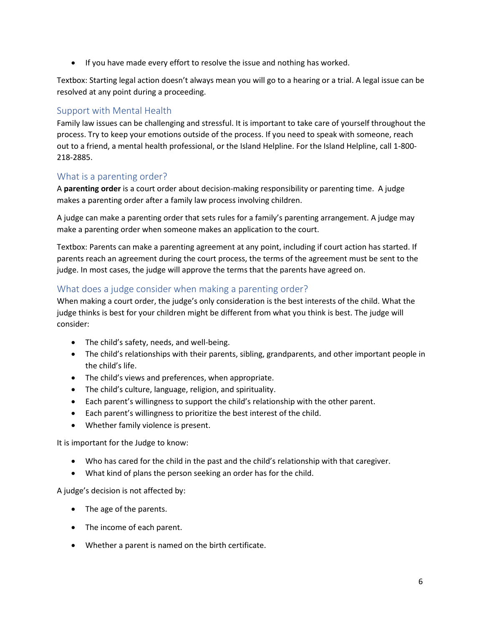• If you have made every effort to resolve the issue and nothing has worked.

Textbox: Starting legal action doesn't always mean you will go to a hearing or a trial. A legal issue can be resolved at any point during a proceeding.

# Support with Mental Health

Family law issues can be challenging and stressful. It is important to take care of yourself throughout the process. Try to keep your emotions outside of the process. If you need to speak with someone, reach out to a friend, a mental health professional, or the Island Helpline. For the Island Helpline, call 1-800- 218-2885.

# What is a parenting order?

A **parenting order** is a court order about decision-making responsibility or parenting time. A judge makes a parenting order after a family law process involving children.

A judge can make a parenting order that sets rules for a family's parenting arrangement. A judge may make a parenting order when someone makes an application to the court.

Textbox: Parents can make a parenting agreement at any point, including if court action has started. If parents reach an agreement during the court process, the terms of the agreement must be sent to the judge. In most cases, the judge will approve the terms that the parents have agreed on.

# What does a judge consider when making a parenting order?

When making a court order, the judge's only consideration is the best interests of the child. What the judge thinks is best for your children might be different from what you think is best. The judge will consider:

- The child's safety, needs, and well-being.
- The child's relationships with their parents, sibling, grandparents, and other important people in the child's life.
- The child's views and preferences, when appropriate.
- The child's culture, language, religion, and spirituality.
- Each parent's willingness to support the child's relationship with the other parent.
- Each parent's willingness to prioritize the best interest of the child.
- Whether family violence is present.

It is important for the Judge to know:

- Who has cared for the child in the past and the child's relationship with that caregiver.
- What kind of plans the person seeking an order has for the child.

A judge's decision is not affected by:

- The age of the parents.
- The income of each parent.
- Whether a parent is named on the birth certificate.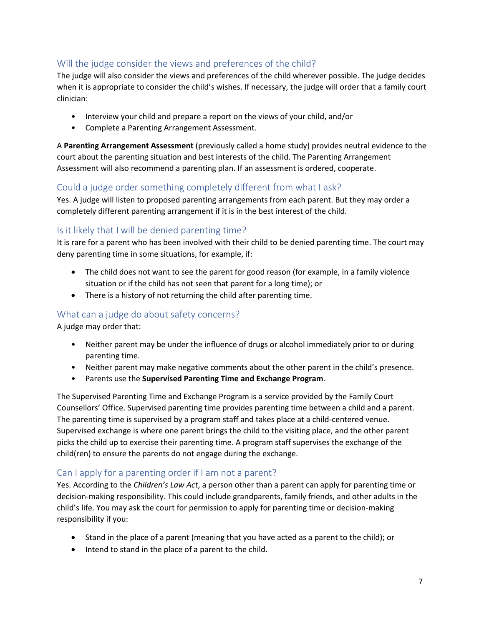# Will the judge consider the views and preferences of the child?

The judge will also consider the views and preferences of the child wherever possible. The judge decides when it is appropriate to consider the child's wishes. If necessary, the judge will order that a family court clinician:

- Interview your child and prepare a report on the views of your child, and/or
- Complete a Parenting Arrangement Assessment.

A **Parenting Arrangement Assessment** (previously called a home study) provides neutral evidence to the court about the parenting situation and best interests of the child. The Parenting Arrangement Assessment will also recommend a parenting plan. If an assessment is ordered, cooperate.

# Could a judge order something completely different from what I ask?

Yes. A judge will listen to proposed parenting arrangements from each parent. But they may order a completely different parenting arrangement if it is in the best interest of the child.

# Is it likely that I will be denied parenting time?

It is rare for a parent who has been involved with their child to be denied parenting time. The court may deny parenting time in some situations, for example, if:

- The child does not want to see the parent for good reason (for example, in a family violence situation or if the child has not seen that parent for a long time); or
- There is a history of not returning the child after parenting time.

# What can a judge do about safety concerns?

A judge may order that:

- Neither parent may be under the influence of drugs or alcohol immediately prior to or during parenting time.
- Neither parent may make negative comments about the other parent in the child's presence.
- Parents use the **Supervised Parenting Time and Exchange Program**.

The Supervised Parenting Time and Exchange Program is a service provided by the Family Court Counsellors' Office. Supervised parenting time provides parenting time between a child and a parent. The parenting time is supervised by a program staff and takes place at a child-centered venue. Supervised exchange is where one parent brings the child to the visiting place, and the other parent picks the child up to exercise their parenting time. A program staff supervises the exchange of the child(ren) to ensure the parents do not engage during the exchange.

# Can I apply for a parenting order if I am not a parent?

Yes. According to the *Children's Law Act*, a person other than a parent can apply for parenting time or decision-making responsibility. This could include grandparents, family friends, and other adults in the child's life. You may ask the court for permission to apply for parenting time or decision-making responsibility if you:

- Stand in the place of a parent (meaning that you have acted as a parent to the child); or
- Intend to stand in the place of a parent to the child.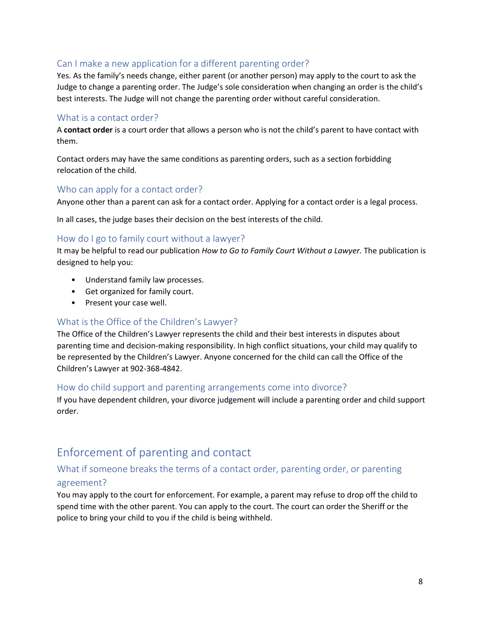# Can I make a new application for a different parenting order?

Yes. As the family's needs change, either parent (or another person) may apply to the court to ask the Judge to change a parenting order. The Judge's sole consideration when changing an order is the child's best interests. The Judge will not change the parenting order without careful consideration.

#### What is a contact order?

A **contact order** is a court order that allows a person who is not the child's parent to have contact with them.

Contact orders may have the same conditions as parenting orders, such as a section forbidding relocation of the child.

#### Who can apply for a contact order?

Anyone other than a parent can ask for a contact order. Applying for a contact order is a legal process.

In all cases, the judge bases their decision on the best interests of the child.

#### How do I go to family court without a lawyer?

It may be helpful to read our publication *How to Go to Family Court Without a Lawyer.* The publication is designed to help you:

- Understand family law processes.
- Get organized for family court.
- Present your case well.

### What is the Office of the Children's Lawyer?

The Office of the Children's Lawyer represents the child and their best interests in disputes about parenting time and decision-making responsibility. In high conflict situations, your child may qualify to be represented by the Children's Lawyer. Anyone concerned for the child can call the Office of the Children's Lawyer at 902-368-4842.

#### How do child support and parenting arrangements come into divorce?

If you have dependent children, your divorce judgement will include a parenting order and child support order.

# Enforcement of parenting and contact

# What if someone breaks the terms of a contact order, parenting order, or parenting agreement?

You may apply to the court for enforcement. For example, a parent may refuse to drop off the child to spend time with the other parent. You can apply to the court. The court can order the Sheriff or the police to bring your child to you if the child is being withheld.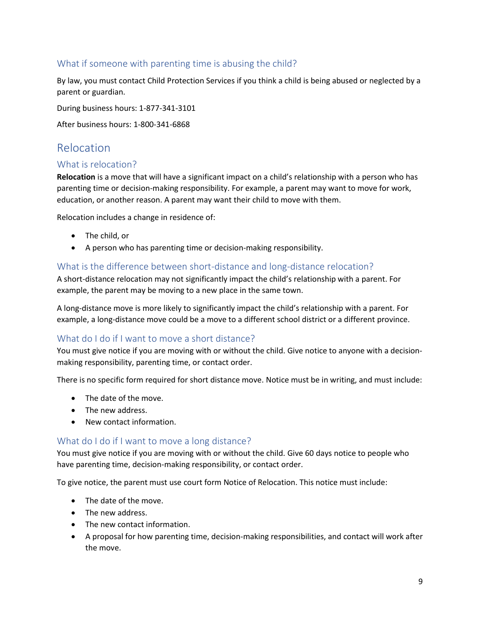# What if someone with parenting time is abusing the child?

By law, you must contact Child Protection Services if you think a child is being abused or neglected by a parent or guardian.

During business hours: 1-877-341-3101

After business hours: 1-800-341-6868

# Relocation

# What is relocation?

**Relocation** is a move that will have a significant impact on a child's relationship with a person who has parenting time or decision-making responsibility. For example, a parent may want to move for work, education, or another reason. A parent may want their child to move with them.

Relocation includes a change in residence of:

- The child, or
- A person who has parenting time or decision-making responsibility.

# What is the difference between short-distance and long-distance relocation?

A short-distance relocation may not significantly impact the child's relationship with a parent. For example, the parent may be moving to a new place in the same town.

A long-distance move is more likely to significantly impact the child's relationship with a parent. For example, a long-distance move could be a move to a different school district or a different province.

# What do I do if I want to move a short distance?

You must give notice if you are moving with or without the child. Give notice to anyone with a decisionmaking responsibility, parenting time, or contact order.

There is no specific form required for short distance move. Notice must be in writing, and must include:

- The date of the move.
- The new address.
- New contact information.

# What do I do if I want to move a long distance?

You must give notice if you are moving with or without the child. Give 60 days notice to people who have parenting time, decision-making responsibility, or contact order.

To give notice, the parent must use court form Notice of Relocation. This notice must include:

- The date of the move.
- The new address.
- The new contact information.
- A proposal for how parenting time, decision-making responsibilities, and contact will work after the move.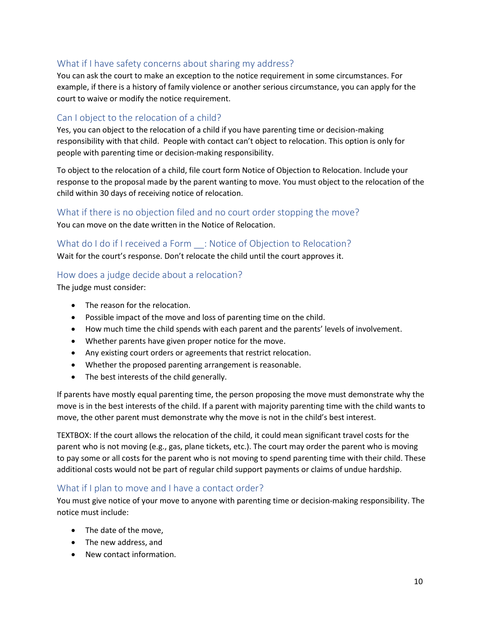# What if I have safety concerns about sharing my address?

You can ask the court to make an exception to the notice requirement in some circumstances. For example, if there is a history of family violence or another serious circumstance, you can apply for the court to waive or modify the notice requirement.

# Can I object to the relocation of a child?

Yes, you can object to the relocation of a child if you have parenting time or decision-making responsibility with that child. People with contact can't object to relocation. This option is only for people with parenting time or decision-making responsibility.

To object to the relocation of a child, file court form Notice of Objection to Relocation. Include your response to the proposal made by the parent wanting to move. You must object to the relocation of the child within 30 days of receiving notice of relocation.

### What if there is no objection filed and no court order stopping the move?

You can move on the date written in the Notice of Relocation.

# What do I do if I received a Form : Notice of Objection to Relocation?

Wait for the court's response. Don't relocate the child until the court approves it.

### How does a judge decide about a relocation?

The judge must consider:

- The reason for the relocation.
- Possible impact of the move and loss of parenting time on the child.
- How much time the child spends with each parent and the parents' levels of involvement.
- Whether parents have given proper notice for the move.
- Any existing court orders or agreements that restrict relocation.
- Whether the proposed parenting arrangement is reasonable.
- The best interests of the child generally.

If parents have mostly equal parenting time, the person proposing the move must demonstrate why the move is in the best interests of the child. If a parent with majority parenting time with the child wants to move, the other parent must demonstrate why the move is not in the child's best interest.

TEXTBOX: If the court allows the relocation of the child, it could mean significant travel costs for the parent who is not moving (e.g., gas, plane tickets, etc.). The court may order the parent who is moving to pay some or all costs for the parent who is not moving to spend parenting time with their child. These additional costs would not be part of regular child support payments or claims of undue hardship.

#### What if I plan to move and I have a contact order?

You must give notice of your move to anyone with parenting time or decision-making responsibility. The notice must include:

- The date of the move,
- The new address, and
- New contact information.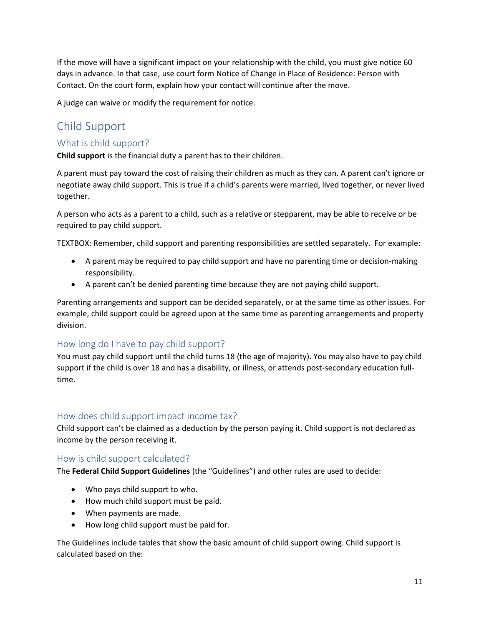If the move will have a significant impact on your relationship with the child, you must give notice 60 days in advance. In that case, use court form Notice of Change in Place of Residence: Person with Contact. On the court form, explain how your contact will continue after the move.

A judge can waive or modify the requirement for notice.

# Child Support

# What is child support?

**Child support** is the financial duty a parent has to their children.

A parent must pay toward the cost of raising their children as much as they can. A parent can't ignore or negotiate away child support. This is true if a child's parents were married, lived together, or never lived together.

A person who acts as a parent to a child, such as a relative or stepparent, may be able to receive or be required to pay child support.

TEXTBOX: Remember, child support and parenting responsibilities are settled separately. For example:

- A parent may be required to pay child support and have no parenting time or decision-making responsibility.
- A parent can't be denied parenting time because they are not paying child support.

Parenting arrangements and support can be decided separately, or at the same time as other issues. For example, child support could be agreed upon at the same time as parenting arrangements and property division.

# How long do I have to pay child support?

You must pay child support until the child turns 18 (the age of majority). You may also have to pay child support if the child is over 18 and has a disability, or illness, or attends post-secondary education fulltime.

# How does child support impact income tax?

Child support can't be claimed as a deduction by the person paying it. Child support is not declared as income by the person receiving it.

#### How is child support calculated?

The **Federal Child Support Guidelines** (the "Guidelines") and other rules are used to decide:

- Who pays child support to who.
- How much child support must be paid.
- When payments are made.
- How long child support must be paid for.

The Guidelines include tables that show the basic amount of child support owing. Child support is calculated based on the: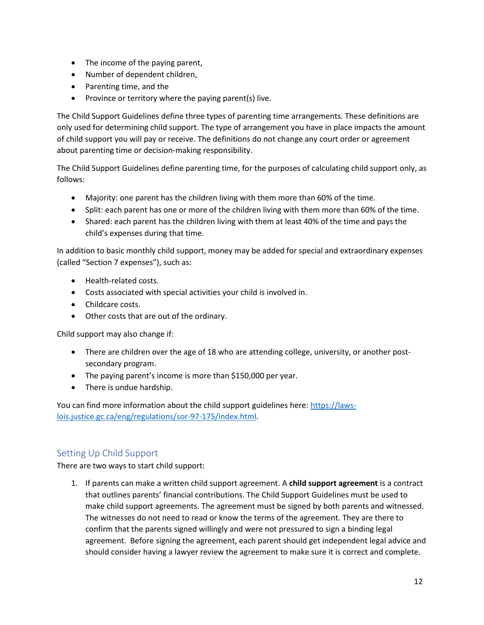- The income of the paying parent,
- Number of dependent children,
- Parenting time, and the
- Province or territory where the paying parent(s) live.

The Child Support Guidelines define three types of parenting time arrangements. These definitions are only used for determining child support. The type of arrangement you have in place impacts the amount of child support you will pay or receive. The definitions do not change any court order or agreement about parenting time or decision-making responsibility.

The Child Support Guidelines define parenting time, for the purposes of calculating child support only, as follows:

- Majority: one parent has the children living with them more than 60% of the time.
- Split: each parent has one or more of the children living with them more than 60% of the time.
- Shared: each parent has the children living with them at least 40% of the time and pays the child's expenses during that time.

In addition to basic monthly child support, money may be added for special and extraordinary expenses (called "Section 7 expenses"), such as:

- Health-related costs.
- Costs associated with special activities your child is involved in.
- Childcare costs.
- Other costs that are out of the ordinary.

Child support may also change if:

- There are children over the age of 18 who are attending college, university, or another postsecondary program.
- The paying parent's income is more than \$150,000 per year.
- There is undue hardship.

You can find more information about the child support guidelines here: [https://laws](https://laws-lois.justice.gc.ca/eng/regulations/sor-97-175/index.html)[lois.justice.gc.ca/eng/regulations/sor-97-175/index.html.](https://laws-lois.justice.gc.ca/eng/regulations/sor-97-175/index.html)

# Setting Up Child Support

There are two ways to start child support:

1. If parents can make a written child support agreement. A **child support agreement** is a contract that outlines parents' financial contributions. The Child Support Guidelines must be used to make child support agreements. The agreement must be signed by both parents and witnessed. The witnesses do not need to read or know the terms of the agreement. They are there to confirm that the parents signed willingly and were not pressured to sign a binding legal agreement. Before signing the agreement, each parent should get independent legal advice and should consider having a lawyer review the agreement to make sure it is correct and complete.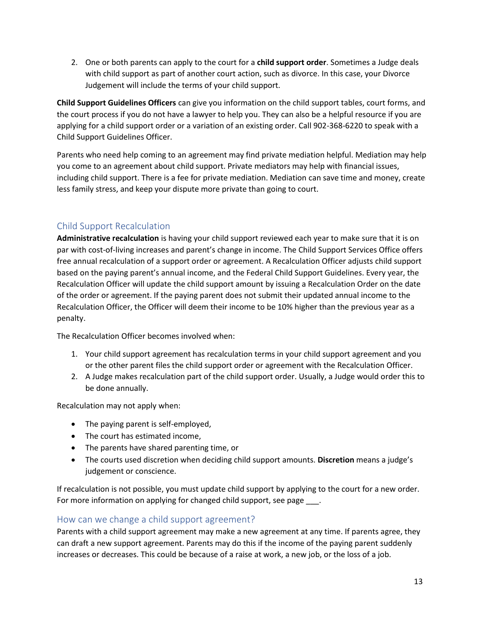2. One or both parents can apply to the court for a **child support order**. Sometimes a Judge deals with child support as part of another court action, such as divorce. In this case, your Divorce Judgement will include the terms of your child support.

**Child Support Guidelines Officers** can give you information on the child support tables, court forms, and the court process if you do not have a lawyer to help you. They can also be a helpful resource if you are applying for a child support order or a variation of an existing order. Call 902-368-6220 to speak with a Child Support Guidelines Officer.

Parents who need help coming to an agreement may find private mediation helpful. Mediation may help you come to an agreement about child support. Private mediators may help with financial issues, including child support. There is a fee for private mediation. Mediation can save time and money, create less family stress, and keep your dispute more private than going to court.

# Child Support Recalculation

**Administrative recalculation** is having your child support reviewed each year to make sure that it is on par with cost-of-living increases and parent's change in income. The Child Support Services Office offers free annual recalculation of a support order or agreement. A Recalculation Officer adjusts child support based on the paying parent's annual income, and the Federal Child Support Guidelines. Every year, the Recalculation Officer will update the child support amount by issuing a Recalculation Order on the date of the order or agreement. If the paying parent does not submit their updated annual income to the Recalculation Officer, the Officer will deem their income to be 10% higher than the previous year as a penalty.

The Recalculation Officer becomes involved when:

- 1. Your child support agreement has recalculation terms in your child support agreement and you or the other parent files the child support order or agreement with the Recalculation Officer.
- 2. A Judge makes recalculation part of the child support order. Usually, a Judge would order this to be done annually.

Recalculation may not apply when:

- The paying parent is self-employed,
- The court has estimated income,
- The parents have shared parenting time, or
- The courts used discretion when deciding child support amounts. **Discretion** means a judge's judgement or conscience.

If recalculation is not possible, you must update child support by applying to the court for a new order. For more information on applying for changed child support, see page \_\_\_\_.

#### How can we change a child support agreement?

Parents with a child support agreement may make a new agreement at any time. If parents agree, they can draft a new support agreement. Parents may do this if the income of the paying parent suddenly increases or decreases. This could be because of a raise at work, a new job, or the loss of a job.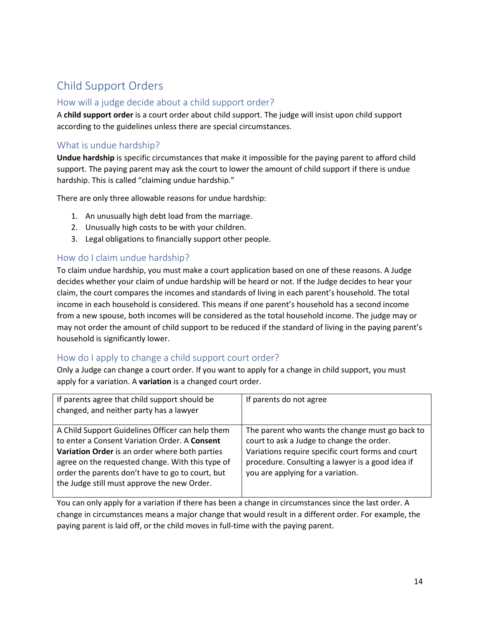# Child Support Orders

# How will a judge decide about a child support order?

A **child support order** is a court order about child support. The judge will insist upon child support according to the guidelines unless there are special circumstances.

# What is undue hardship?

**Undue hardship** is specific circumstances that make it impossible for the paying parent to afford child support. The paying parent may ask the court to lower the amount of child support if there is undue hardship. This is called "claiming undue hardship."

There are only three allowable reasons for undue hardship:

- 1. An unusually high debt load from the marriage.
- 2. Unusually high costs to be with your children.
- 3. Legal obligations to financially support other people.

# How do I claim undue hardship?

To claim undue hardship, you must make a court application based on one of these reasons. A Judge decides whether your claim of undue hardship will be heard or not. If the Judge decides to hear your claim, the court compares the incomes and standards of living in each parent's household. The total income in each household is considered. This means if one parent's household has a second income from a new spouse, both incomes will be considered as the total household income. The judge may or may not order the amount of child support to be reduced if the standard of living in the paying parent's household is significantly lower.

# How do I apply to change a child support court order?

Only a Judge can change a court order. If you want to apply for a change in child support, you must apply for a variation. A **variation** is a changed court order.

| If parents agree that child support should be<br>changed, and neither party has a lawyer                                                                                                                                                                                                                   | If parents do not agree                                                                                                                                                                                                                    |
|------------------------------------------------------------------------------------------------------------------------------------------------------------------------------------------------------------------------------------------------------------------------------------------------------------|--------------------------------------------------------------------------------------------------------------------------------------------------------------------------------------------------------------------------------------------|
| A Child Support Guidelines Officer can help them<br>to enter a Consent Variation Order. A Consent<br>Variation Order is an order where both parties<br>agree on the requested change. With this type of<br>order the parents don't have to go to court, but<br>the Judge still must approve the new Order. | The parent who wants the change must go back to<br>court to ask a Judge to change the order.<br>Variations require specific court forms and court<br>procedure. Consulting a lawyer is a good idea if<br>you are applying for a variation. |

You can only apply for a variation if there has been a change in circumstances since the last order. A change in circumstances means a major change that would result in a different order. For example, the paying parent is laid off, or the child moves in full-time with the paying parent.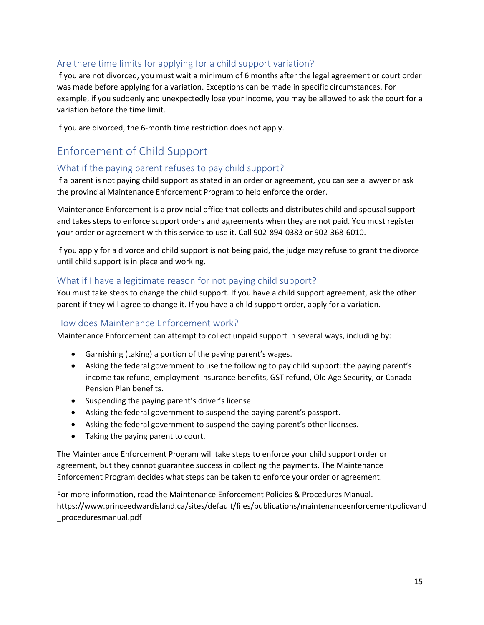# Are there time limits for applying for a child support variation?

If you are not divorced, you must wait a minimum of 6 months after the legal agreement or court order was made before applying for a variation. Exceptions can be made in specific circumstances. For example, if you suddenly and unexpectedly lose your income, you may be allowed to ask the court for a variation before the time limit.

If you are divorced, the 6-month time restriction does not apply.

# Enforcement of Child Support

# What if the paying parent refuses to pay child support?

If a parent is not paying child support as stated in an order or agreement, you can see a lawyer or ask the provincial Maintenance Enforcement Program to help enforce the order.

Maintenance Enforcement is a provincial office that collects and distributes child and spousal support and takes steps to enforce support orders and agreements when they are not paid. You must register your order or agreement with this service to use it. Call 902-894-0383 or 902-368-6010.

If you apply for a divorce and child support is not being paid, the judge may refuse to grant the divorce until child support is in place and working.

# What if I have a legitimate reason for not paying child support?

You must take steps to change the child support. If you have a child support agreement, ask the other parent if they will agree to change it. If you have a child support order, apply for a variation.

# How does Maintenance Enforcement work?

Maintenance Enforcement can attempt to collect unpaid support in several ways, including by:

- Garnishing (taking) a portion of the paying parent's wages.
- Asking the federal government to use the following to pay child support: the paying parent's income tax refund, employment insurance benefits, GST refund, Old Age Security, or Canada Pension Plan benefits.
- Suspending the paying parent's driver's license.
- Asking the federal government to suspend the paying parent's passport.
- Asking the federal government to suspend the paying parent's other licenses.
- Taking the paying parent to court.

The Maintenance Enforcement Program will take steps to enforce your child support order or agreement, but they cannot guarantee success in collecting the payments. The Maintenance Enforcement Program decides what steps can be taken to enforce your order or agreement.

For more information, read the Maintenance Enforcement Policies & Procedures Manual. https://www.princeedwardisland.ca/sites/default/files/publications/maintenanceenforcementpolicyand \_proceduresmanual.pdf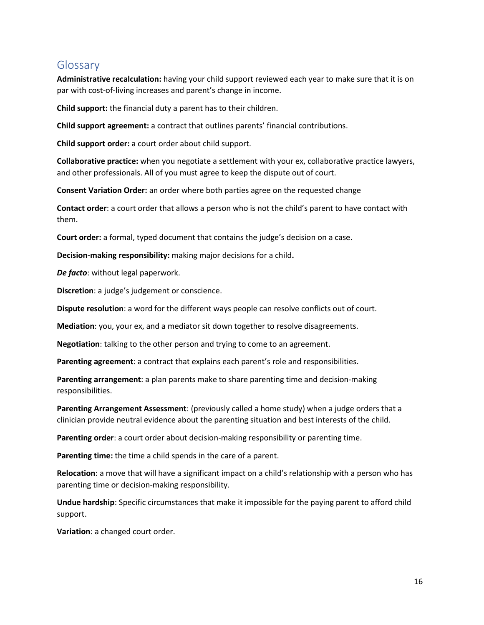# Glossary

**Administrative recalculation:** having your child support reviewed each year to make sure that it is on par with cost-of-living increases and parent's change in income.

**Child support:** the financial duty a parent has to their children.

**Child support agreement:** a contract that outlines parents' financial contributions.

**Child support order:** a court order about child support.

**Collaborative practice:** when you negotiate a settlement with your ex, collaborative practice lawyers, and other professionals. All of you must agree to keep the dispute out of court.

**Consent Variation Order:** an order where both parties agree on the requested change

**Contact order**: a court order that allows a person who is not the child's parent to have contact with them.

**Court order:** a formal, typed document that contains the judge's decision on a case.

**Decision-making responsibility:** making major decisions for a child**.** 

*De facto*: without legal paperwork.

**Discretion**: a judge's judgement or conscience.

**Dispute resolution**: a word for the different ways people can resolve conflicts out of court.

**Mediation**: you, your ex, and a mediator sit down together to resolve disagreements.

**Negotiation**: talking to the other person and trying to come to an agreement.

**Parenting agreement**: a contract that explains each parent's role and responsibilities.

**Parenting arrangement**: a plan parents make to share parenting time and decision-making responsibilities.

**Parenting Arrangement Assessment**: (previously called a home study) when a judge orders that a clinician provide neutral evidence about the parenting situation and best interests of the child.

**Parenting order**: a court order about decision-making responsibility or parenting time.

**Parenting time:** the time a child spends in the care of a parent.

**Relocation**: a move that will have a significant impact on a child's relationship with a person who has parenting time or decision-making responsibility.

**Undue hardship**: Specific circumstances that make it impossible for the paying parent to afford child support.

**Variation**: a changed court order.